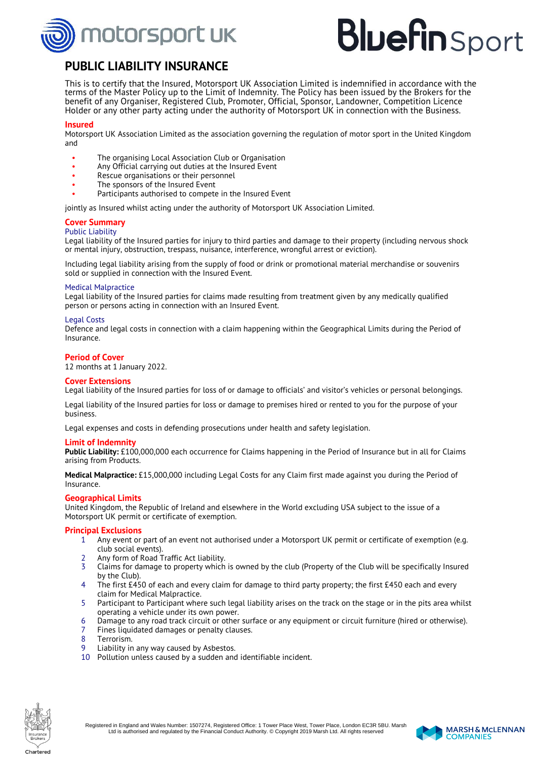

# **Bluefin** Sport

### **PUBLIC LIABILITY INSURANCE**

This is to certify that the Insured, Motorsport UK Association Limited is indemnified in accordance with the terms of the Master Policy up to the Limit of Indemnity. The Policy has been issued by the Brokers for the benefit of any Organiser, Registered Club, Promoter, Official, Sponsor, Landowner, Competition Licence Holder or any other party acting under the authority of Motorsport UK in connection with the Business.

#### **Insured**

Motorsport UK Association Limited as the association governing the regulation of motor sport in the United Kingdom and

- The organising Local Association Club or Organisation
- Any Official carrying out duties at the Insured Event
- Rescue organisations or their personnel
- The sponsors of the Insured Event
- Participants authorised to compete in the Insured Event

jointly as Insured whilst acting under the authority of Motorsport UK Association Limited.

#### **Cover Summary**

#### Public Liability

Legal liability of the Insured parties for injury to third parties and damage to their property (including nervous shock or mental injury, obstruction, trespass, nuisance, interference, wrongful arrest or eviction).

Including legal liability arising from the supply of food or drink or promotional material merchandise or souvenirs sold or supplied in connection with the Insured Event.

#### Medical Malpractice

Legal liability of the Insured parties for claims made resulting from treatment given by any medically qualified person or persons acting in connection with an Insured Event.

#### Legal Costs

Defence and legal costs in connection with a claim happening within the Geographical Limits during the Period of Insurance.

#### **Period of Cover**

12 months at 1 January 2022.

#### **Cover Extensions**

Legal liability of the Insured parties for loss of or damage to officials' and visitor's vehicles or personal belongings.

Legal liability of the Insured parties for loss or damage to premises hired or rented to you for the purpose of your business.

Legal expenses and costs in defending prosecutions under health and safety legislation.

#### **Limit of Indemnity**

**Public Liability:** £100,000,000 each occurrence for Claims happening in the Period of Insurance but in all for Claims arising from Products.

**Medical Malpractice:** £15,000,000 including Legal Costs for any Claim first made against you during the Period of Insurance.

#### **Geographical Limits**

United Kingdom, the Republic of Ireland and elsewhere in the World excluding USA subject to the issue of a Motorsport UK permit or certificate of exemption.

#### **Principal Exclusions**

- 1 Any event or part of an event not authorised under a Motorsport UK permit or certificate of exemption (e.g. club social events).
- 2 Any form of Road Traffic Act liability.<br>2 Claims for damage to property which
- 3 Claims for damage to property which is owned by the club (Property of the Club will be specifically Insured by the Club).
- 4 The first £450 of each and every claim for damage to third party property; the first £450 each and every claim for Medical Malpractice.
- 5 Participant to Participant where such legal liability arises on the track on the stage or in the pits area whilst operating a vehicle under its own power.
- 6 Damage to any road track circuit or other surface or any equipment or circuit furniture (hired or otherwise).
- 7 Fines liquidated damages or penalty clauses.
- 8 Terrorism.<br>9 Liability in
- Liability in any way caused by Asbestos.
- 10 Pollution unless caused by a sudden and identifiable incident.